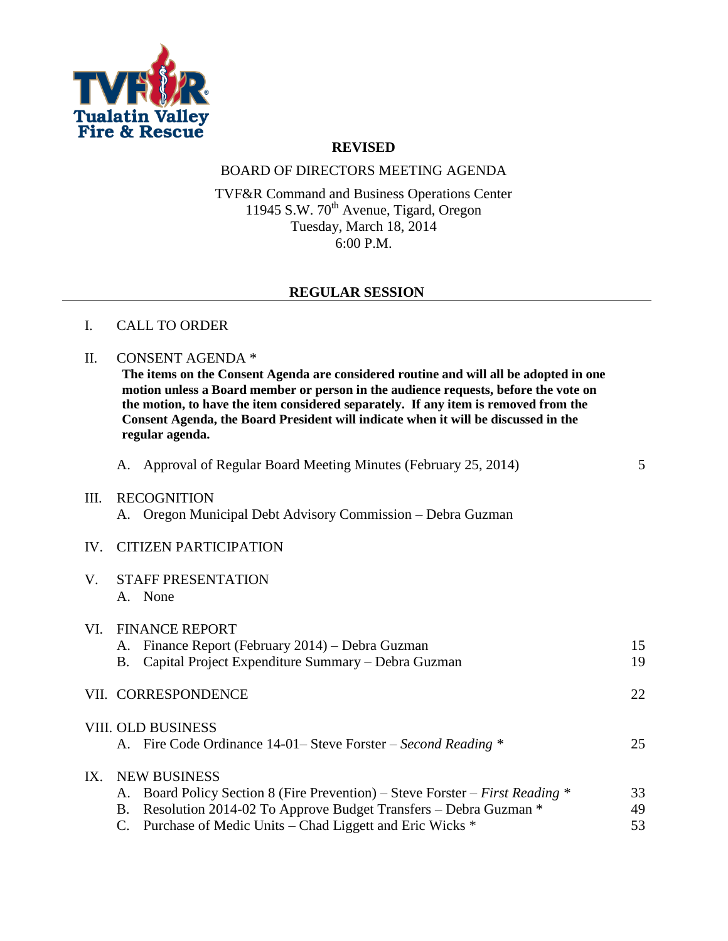

## **REVISED**

### BOARD OF DIRECTORS MEETING AGENDA

TVF&R Command and Business Operations Center 11945 S.W.  $70^{\text{th}}$  Avenue, Tigard, Oregon Tuesday, March 18, 2014 6:00 P.M.

### **REGULAR SESSION**

#### I. CALL TO ORDER

#### II. CONSENT AGENDA \*

**The items on the Consent Agenda are considered routine and will all be adopted in one motion unless a Board member or person in the audience requests, before the vote on the motion, to have the item considered separately. If any item is removed from the Consent Agenda, the Board President will indicate when it will be discussed in the regular agenda.**

| A. Approval of Regular Board Meeting Minutes (February 25, 2014) |  |  |
|------------------------------------------------------------------|--|--|
|                                                                  |  |  |

### III. RECOGNITION A. Oregon Municipal Debt Advisory Commission – Debra Guzman

#### IV. CITIZEN PARTICIPATION

| V. STAFF PRESENTATION |         |  |
|-----------------------|---------|--|
|                       | A. None |  |

| VI.      | <b>FINANCE REPORT</b> |                                                                               |    |  |  |  |
|----------|-----------------------|-------------------------------------------------------------------------------|----|--|--|--|
|          |                       | A. Finance Report (February 2014) – Debra Guzman                              | 15 |  |  |  |
|          | В.                    | Capital Project Expenditure Summary – Debra Guzman                            | 19 |  |  |  |
|          |                       | VII. CORRESPONDENCE                                                           | 22 |  |  |  |
|          |                       | VIII. OLD BUSINESS                                                            |    |  |  |  |
|          |                       | A. Fire Code Ordinance 14-01– Steve Forster – Second Reading *                | 25 |  |  |  |
| $IX_{-}$ | <b>NEW BUSINESS</b>   |                                                                               |    |  |  |  |
|          |                       | A. Board Policy Section 8 (Fire Prevention) – Steve Forster – First Reading * | 33 |  |  |  |
|          | В.                    | Resolution 2014-02 To Approve Budget Transfers - Debra Guzman *               | 49 |  |  |  |
|          |                       | Purchase of Medic Units – Chad Liggett and Eric Wicks *                       | 53 |  |  |  |